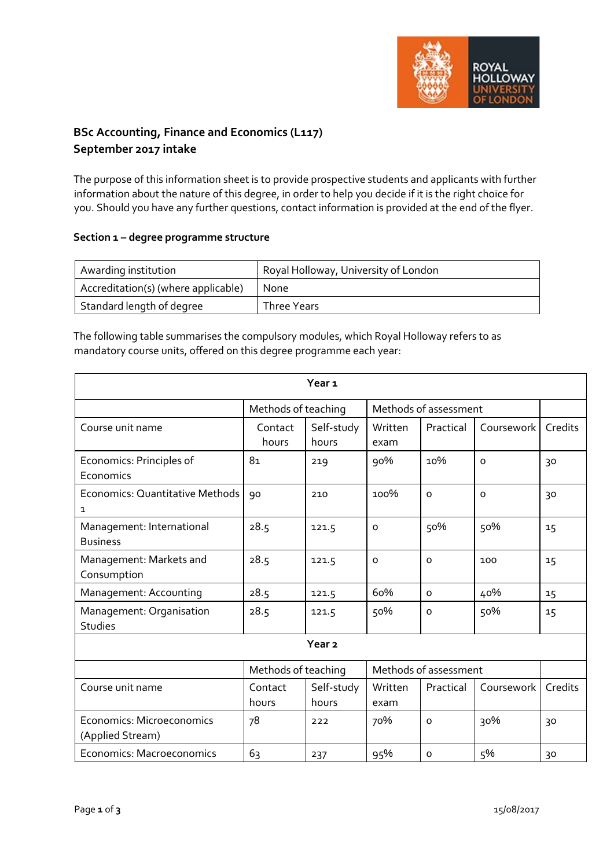

# **BSc Accounting, Finance and Economics (L117) September 2017 intake**

The purpose of this information sheet is to provide prospective students and applicants with further information about the nature of this degree, in order to help you decide if it is the right choice for you. Should you have any further questions, contact information is provided at the end of the flyer.

## **Section 1 – degree programme structure**

| Awarding institution                | Royal Holloway, University of London |
|-------------------------------------|--------------------------------------|
| Accreditation(s) (where applicable) | <b>None</b>                          |
| Standard length of degree           | Three Years                          |

The following table summarises the compulsory modules, which Royal Holloway refers to as mandatory course units, offered on this degree programme each year:

| Year <sub>1</sub>                             |                     |                     |                       |                       |            |         |
|-----------------------------------------------|---------------------|---------------------|-----------------------|-----------------------|------------|---------|
|                                               | Methods of teaching |                     |                       | Methods of assessment |            |         |
| Course unit name                              | Contact<br>hours    | Self-study<br>hours | Written<br>exam       | Practical             | Coursework | Credits |
| Economics: Principles of<br>Economics         | 81                  | 219                 | 90%                   | 10%                   | $\Omega$   | 30      |
| Economics: Quantitative Methods<br>1          | 90                  | 210                 | 100%                  | $\mathsf{o}$          | $\circ$    | 30      |
| Management: International<br><b>Business</b>  | 28.5                | 121.5               | $\circ$               | 50%                   | 50%        | 15      |
| Management: Markets and<br>Consumption        | 28.5                | 121.5               | $\circ$               | $\Omega$              | 100        | 15      |
| Management: Accounting                        | 28.5                | 121.5               | 60%                   | $\circ$               | 40%        | 15      |
| Management: Organisation<br>Studies           | 28.5                | 121.5               | 50%                   | $\mathsf{o}$          | 50%        | 15      |
|                                               |                     | Year <sub>2</sub>   |                       |                       |            |         |
|                                               | Methods of teaching |                     | Methods of assessment |                       |            |         |
| Course unit name                              | Contact<br>hours    | Self-study<br>hours | Written<br>exam       | Practical             | Coursework | Credits |
| Economics: Microeconomics<br>(Applied Stream) | 78                  | 222                 | 70%                   | $\mathsf{o}$          | 30%        | 30      |
| Economics: Macroeconomics                     | 63                  | 237                 | 95%                   | $\circ$               | 5%         | 30      |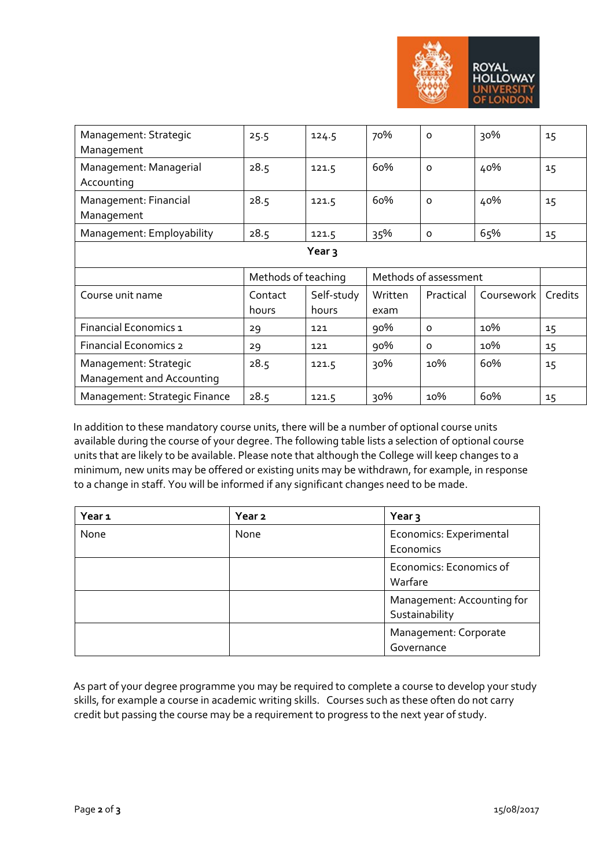

| Management: Strategic<br>Management                | 25.5                | 124.5               | 70%             | $\Omega$              | 30%        | 15      |
|----------------------------------------------------|---------------------|---------------------|-----------------|-----------------------|------------|---------|
| Management: Managerial<br>Accounting               | 28.5                | 121.5               | 60%             | $\Omega$              | 40%        | 15      |
| Management: Financial<br>Management                | 28.5                | 121.5               | 60%             | $\Omega$              | 40%        | 15      |
| Management: Employability                          | 28.5                | 121.5               | 35%             | $\circ$               | 65%        | 15      |
| Year $\overline{3}$                                |                     |                     |                 |                       |            |         |
|                                                    |                     |                     |                 |                       |            |         |
|                                                    | Methods of teaching |                     |                 | Methods of assessment |            |         |
| Course unit name                                   | Contact<br>hours    | Self-study<br>hours | Written<br>exam | Practical             | Coursework | Credits |
| Financial Economics 1                              | 29                  | 121                 | 90%             | $\Omega$              | 10%        | 15      |
| <b>Financial Economics 2</b>                       | 29                  | 121                 | 90%             | $\Omega$              | 10%        | 15      |
| Management: Strategic<br>Management and Accounting | 28.5                | 121.5               | 30%             | 10%                   | 60%        | 15      |

In addition to these mandatory course units, there will be a number of optional course units available during the course of your degree. The following table lists a selection of optional course units that are likely to be available. Please note that although the College will keep changes to a minimum, new units may be offered or existing units may be withdrawn, for example, in response to a change in staff. You will be informed if any significant changes need to be made.

| Year <sub>1</sub> | Year <sub>2</sub> | Year 3                     |
|-------------------|-------------------|----------------------------|
| None              | None              | Economics: Experimental    |
|                   |                   | Economics                  |
|                   |                   | Economics: Economics of    |
|                   |                   | Warfare                    |
|                   |                   | Management: Accounting for |
|                   |                   | Sustainability             |
|                   |                   | Management: Corporate      |
|                   |                   | Governance                 |

As part of your degree programme you may be required to complete a course to develop your study skills, for example a course in academic writing skills. Courses such as these often do not carry credit but passing the course may be a requirement to progress to the next year of study.